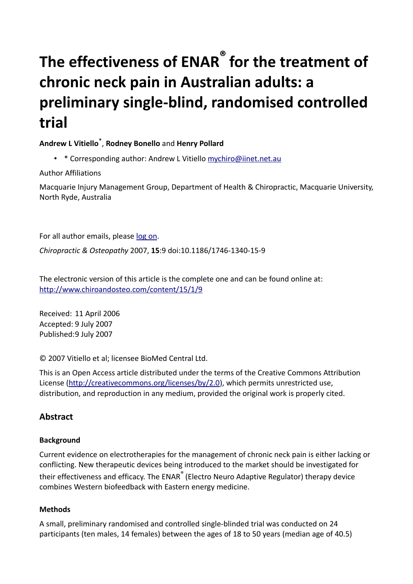# **The effectiveness of ENAR® for the treatment of chronic neck pain in Australian adults: a preliminary single-blind, randomised controlled trial**

## **Andrew L Vitiello**\* , **Rodney Bonello** and **Henry Pollard**

• \* Corresponding author: Andrew L Vitiello [mychiro@iinet.net.au](mailto:mychiro@iinet.net.au)

#### Author Affiliations

Macquarie Injury Management Group, Department of Health & Chiropractic, Macquarie University, North Ryde, Australia

For all author emails, please [log on.](http://chiromt.com/logon)

*Chiropractic & Osteopathy* 2007, **15**:9 doi:10.1186/1746-1340-15-9

The electronic version of this article is the complete one and can be found online at: <http://www.chiroandosteo.com/content/15/1/9>

Received: 11 April 2006 Accepted: 9 July 2007 Published:9 July 2007

© 2007 Vitiello et al; licensee BioMed Central Ltd.

This is an Open Access article distributed under the terms of the Creative Commons Attribution License [\(http://creativecommons.org/licenses/by/2.0\)](http://creativecommons.org/licenses/by/2.0), which permits unrestricted use, distribution, and reproduction in any medium, provided the original work is properly cited.

# **Abstract**

#### **Background**

Current evidence on electrotherapies for the management of chronic neck pain is either lacking or conflicting. New therapeutic devices being introduced to the market should be investigated for their effectiveness and efficacy. The ENAR<sup>®</sup> (Electro Neuro Adaptive Regulator) therapy device combines Western biofeedback with Eastern energy medicine.

#### **Methods**

A small, preliminary randomised and controlled single-blinded trial was conducted on 24 participants (ten males, 14 females) between the ages of 18 to 50 years (median age of 40.5)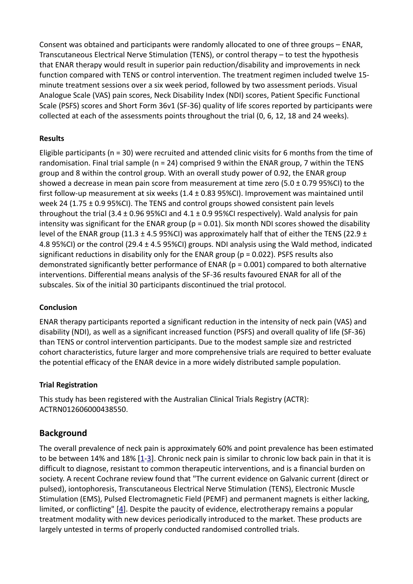Consent was obtained and participants were randomly allocated to one of three groups – ENAR, Transcutaneous Electrical Nerve Stimulation (TENS), or control therapy – to test the hypothesis that ENAR therapy would result in superior pain reduction/disability and improvements in neck function compared with TENS or control intervention. The treatment regimen included twelve 15 minute treatment sessions over a six week period, followed by two assessment periods. Visual Analogue Scale (VAS) pain scores, Neck Disability Index (NDI) scores, Patient Specific Functional Scale (PSFS) scores and Short Form 36v1 (SF-36) quality of life scores reported by participants were collected at each of the assessments points throughout the trial (0, 6, 12, 18 and 24 weeks).

#### **Results**

Eligible participants (n = 30) were recruited and attended clinic visits for 6 months from the time of randomisation. Final trial sample (n = 24) comprised 9 within the ENAR group, 7 within the TENS group and 8 within the control group. With an overall study power of 0.92, the ENAR group showed a decrease in mean pain score from measurement at time zero  $(5.0 \pm 0.79 \, 95\%)$  to the first follow-up measurement at six weeks  $(1.4 \pm 0.83 \, 95\, \text{C})$ . Improvement was maintained until week 24 (1.75  $\pm$  0.9 95%CI). The TENS and control groups showed consistent pain levels throughout the trial  $(3.4 \pm 0.96 \pm 95\%)$ CI and  $4.1 \pm 0.9 \pm 95\%$ CI respectively). Wald analysis for pain intensity was significant for the ENAR group ( $p = 0.01$ ). Six month NDI scores showed the disability level of the ENAR group (11.3  $\pm$  4.5 95%CI) was approximately half that of either the TENS (22.9  $\pm$ 4.8 95%CI) or the control (29.4 ± 4.5 95%CI) groups. NDI analysis using the Wald method, indicated significant reductions in disability only for the ENAR group (p = 0.022). PSFS results also demonstrated significantly better performance of ENAR ( $p = 0.001$ ) compared to both alternative interventions. Differential means analysis of the SF-36 results favoured ENAR for all of the subscales. Six of the initial 30 participants discontinued the trial protocol.

#### **Conclusion**

ENAR therapy participants reported a significant reduction in the intensity of neck pain (VAS) and disability (NDI), as well as a significant increased function (PSFS) and overall quality of life (SF-36) than TENS or control intervention participants. Due to the modest sample size and restricted cohort characteristics, future larger and more comprehensive trials are required to better evaluate the potential efficacy of the ENAR device in a more widely distributed sample population.

#### **Trial Registration**

This study has been registered with the Australian Clinical Trials Registry (ACTR): ACTRN012606000438550.

# **Background**

The overall prevalence of neck pain is approximately 60% and point prevalence has been estimated to be between 14% and 18%  $[1-3]$  $[1-3]$ . Chronic neck pain is similar to chronic low back pain in that it is difficult to diagnose, resistant to common therapeutic interventions, and is a financial burden on society. A recent Cochrane review found that "The current evidence on Galvanic current (direct or pulsed), iontophoresis, Transcutaneous Electrical Nerve Stimulation (TENS), Electronic Muscle Stimulation (EMS), Pulsed Electromagnetic Field (PEMF) and permanent magnets is either lacking, limited, or conflicting" [\[4\]](http://chiromt.com/content/15/1/9#B4). Despite the paucity of evidence, electrotherapy remains a popular treatment modality with new devices periodically introduced to the market. These products are largely untested in terms of properly conducted randomised controlled trials.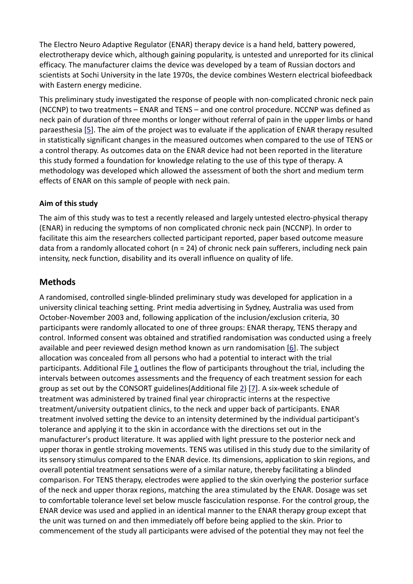The Electro Neuro Adaptive Regulator (ENAR) therapy device is a hand held, battery powered, electrotherapy device which, although gaining popularity, is untested and unreported for its clinical efficacy. The manufacturer claims the device was developed by a team of Russian doctors and scientists at Sochi University in the late 1970s, the device combines Western electrical biofeedback with Eastern energy medicine.

This preliminary study investigated the response of people with non-complicated chronic neck pain (NCCNP) to two treatments – ENAR and TENS – and one control procedure. NCCNP was defined as neck pain of duration of three months or longer without referral of pain in the upper limbs or hand paraesthesia [\[5\]](http://chiromt.com/content/15/1/9#B5). The aim of the project was to evaluate if the application of ENAR therapy resulted in statistically significant changes in the measured outcomes when compared to the use of TENS or a control therapy. As outcomes data on the ENAR device had not been reported in the literature this study formed a foundation for knowledge relating to the use of this type of therapy. A methodology was developed which allowed the assessment of both the short and medium term effects of ENAR on this sample of people with neck pain.

#### **Aim of this study**

The aim of this study was to test a recently released and largely untested electro-physical therapy (ENAR) in reducing the symptoms of non complicated chronic neck pain (NCCNP). In order to facilitate this aim the researchers collected participant reported, paper based outcome measure data from a randomly allocated cohort ( $n = 24$ ) of chronic neck pain sufferers, including neck pain intensity, neck function, disability and its overall influence on quality of life.

# **Methods**

A randomised, controlled single-blinded preliminary study was developed for application in a university clinical teaching setting. Print media advertising in Sydney, Australia was used from October-November 2003 and, following application of the inclusion/exclusion criteria, 30 participants were randomly allocated to one of three groups: ENAR therapy, TENS therapy and control. Informed consent was obtained and stratified randomisation was conducted using a freely available and peer reviewed design method known as urn randomisation [\[6\]](http://chiromt.com/content/15/1/9#B6). The subject allocation was concealed from all persons who had a potential to interact with the trial participants. Additional File [1](http://chiromt.com/content/15/1/9/suppl/S1) outlines the flow of participants throughout the trial, including the intervals between outcomes assessments and the frequency of each treatment session for each group as set out by the CONSORT guidelines(Additional file [2\)](http://chiromt.com/content/15/1/9/suppl/S2) [\[7\]](http://chiromt.com/content/15/1/9#B7). A six-week schedule of treatment was administered by trained final year chiropractic interns at the respective treatment/university outpatient clinics, to the neck and upper back of participants. ENAR treatment involved setting the device to an intensity determined by the individual participant's tolerance and applying it to the skin in accordance with the directions set out in the manufacturer's product literature. It was applied with light pressure to the posterior neck and upper thorax in gentle stroking movements. TENS was utilised in this study due to the similarity of its sensory stimulus compared to the ENAR device. Its dimensions, application to skin regions, and overall potential treatment sensations were of a similar nature, thereby facilitating a blinded comparison. For TENS therapy, electrodes were applied to the skin overlying the posterior surface of the neck and upper thorax regions, matching the area stimulated by the ENAR. Dosage was set to comfortable tolerance level set below muscle fasciculation response. For the control group, the ENAR device was used and applied in an identical manner to the ENAR therapy group except that the unit was turned on and then immediately off before being applied to the skin. Prior to commencement of the study all participants were advised of the potential they may not feel the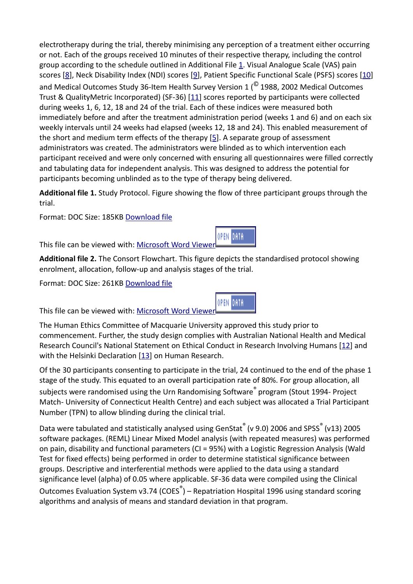electrotherapy during the trial, thereby minimising any perception of a treatment either occurring or not. Each of the groups received 10 minutes of their respective therapy, including the control group according to the schedule outlined in Additional File [1.](http://chiromt.com/content/15/1/9/suppl/S1) Visual Analogue Scale (VAS) pain scores [\[8\]](http://chiromt.com/content/15/1/9#B8), Neck Disability Index (NDI) scores [\[9\]](http://chiromt.com/content/15/1/9#B9), Patient Specific Functional Scale (PSFS) scores [\[10\]](http://chiromt.com/content/15/1/9#B10) and Medical Outcomes Study 36-Item Health Survey Version 1 ( $^{\circ}$  1988, 2002 Medical Outcomes Trust & QualityMetric Incorporated) (SF-36) [\[11\]](http://chiromt.com/content/15/1/9#B11) scores reported by participants were collected during weeks 1, 6, 12, 18 and 24 of the trial. Each of these indices were measured both immediately before and after the treatment administration period (weeks 1 and 6) and on each six weekly intervals until 24 weeks had elapsed (weeks 12, 18 and 24). This enabled measurement of the short and medium term effects of the therapy  $[5]$ . A separate group of assessment administrators was created. The administrators were blinded as to which intervention each participant received and were only concerned with ensuring all questionnaires were filled correctly and tabulating data for independent analysis. This was designed to address the potential for participants becoming unblinded as to the type of therapy being delivered.

**Additional file 1.** Study Protocol. Figure showing the flow of three participant groups through the trial.

Format: DOC Size: 185KB [Download file](http://chiromt.com/content/supplementary/1746-1340-15-9-s1.doc)

**OPEN DATA** This file can be viewed with: [Microsoft Word Viewer](http://www.microsoft.com/downloads/details.aspx?displaylang=en&FamilyID=3657ce88-7cfa-457a-9aec-f4f827f20cac)

**Additional file 2.** The Consort Flowchart. This figure depicts the standardised protocol showing enrolment, allocation, follow-up and analysis stages of the trial.

Format: DOC Size: 261KB [Download file](http://chiromt.com/content/supplementary/1746-1340-15-9-s2.doc)

This file can be viewed with: [Microsoft Word Viewer](http://www.microsoft.com/downloads/details.aspx?displaylang=en&FamilyID=3657ce88-7cfa-457a-9aec-f4f827f20cac)

### The Human Ethics Committee of Macquarie University approved this study prior to commencement. Further, the study design complies with Australian National Health and Medical Research Council's National Statement on Ethical Conduct in Research Involving Humans [\[12\]](http://chiromt.com/content/15/1/9#B12) and with the Helsinki Declaration [\[13\]](http://chiromt.com/content/15/1/9#B13) on Human Research.

Of the 30 participants consenting to participate in the trial, 24 continued to the end of the phase 1 stage of the study. This equated to an overall participation rate of 80%. For group allocation, all subjects were randomised using the Urn Randomising Software® program (Stout 1994- Project Match- University of Connecticut Health Centre) and each subject was allocated a Trial Participant Number (TPN) to allow blinding during the clinical trial.

Data were tabulated and statistically analysed using GenStat<sup>®</sup> (v 9.0) 2006 and SPSS<sup>®</sup> (v13) 2005 software packages. (REML) Linear Mixed Model analysis (with repeated measures) was performed on pain, disability and functional parameters (CI = 95%) with a Logistic Regression Analysis (Wald Test for fixed effects) being performed in order to determine statistical significance between groups. Descriptive and interferential methods were applied to the data using a standard significance level (alpha) of 0.05 where applicable. SF-36 data were compiled using the Clinical Outcomes Evaluation System v3.74 (COES<sup>®</sup>) – Repatriation Hospital 1996 using standard scoring algorithms and analysis of means and standard deviation in that program.

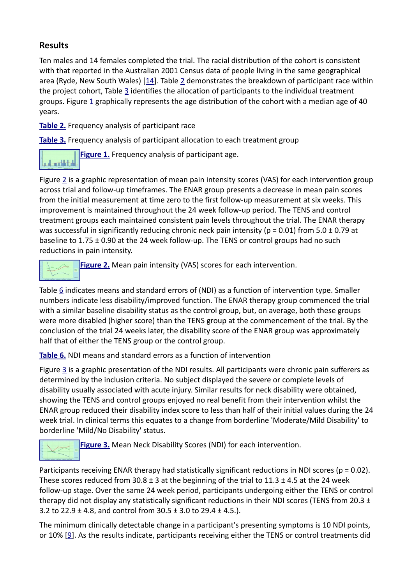# **Results**

Ten males and 14 females completed the trial. The racial distribution of the cohort is consistent with that reported in the Australian 2001 Census data of people living in the same geographical area (Ryde, New South Wales) [\[14\]](http://chiromt.com/content/15/1/9#B14). Table [2](http://chiromt.com/content/15/1/9/table/T2) demonstrates the breakdown of participant race within the project cohort, Table [3](http://chiromt.com/content/15/1/9/table/T3) identifies the allocation of participants to the individual treatment groups. Figure  $1$  graphically represents the age distribution of the cohort with a median age of 40 years.

**[Table 2.](http://chiromt.com/content/15/1/9/table/T2)** Frequency analysis of participant race

**[Table 3.](http://chiromt.com/content/15/1/9/table/T3)** Frequency analysis of participant allocation to each treatment group

and multiplier

**[Figure 1.](http://chiromt.com/content/15/1/9/figure/F1)** Frequency analysis of participant age.

Figure [2](http://chiromt.com/content/15/1/9/figure/F2) is a graphic representation of mean pain intensity scores (VAS) for each intervention group across trial and follow-up timeframes. The ENAR group presents a decrease in mean pain scores from the initial measurement at time zero to the first follow-up measurement at six weeks. This improvement is maintained throughout the 24 week follow-up period. The TENS and control treatment groups each maintained consistent pain levels throughout the trial. The ENAR therapy was successful in significantly reducing chronic neck pain intensity ( $p = 0.01$ ) from 5.0 ± 0.79 at baseline to 1.75 ± 0.90 at the 24 week follow-up. The TENS or control groups had no such reductions in pain intensity.



**[Figure 2.](http://chiromt.com/content/15/1/9/figure/F2)** Mean pain intensity (VAS) scores for each intervention.

Table [6](http://chiromt.com/content/15/1/9/table/T6) indicates means and standard errors of (NDI) as a function of intervention type. Smaller numbers indicate less disability/improved function. The ENAR therapy group commenced the trial with a similar baseline disability status as the control group, but, on average, both these groups were more disabled (higher score) than the TENS group at the commencement of the trial. By the conclusion of the trial 24 weeks later, the disability score of the ENAR group was approximately half that of either the TENS group or the control group.

**[Table 6.](http://chiromt.com/content/15/1/9/table/T6)** NDI means and standard errors as a function of intervention

Figure [3](http://chiromt.com/content/15/1/9/figure/F3) is a graphic presentation of the NDI results. All participants were chronic pain sufferers as determined by the inclusion criteria. No subject displayed the severe or complete levels of disability usually associated with acute injury. Similar results for neck disability were obtained, showing the TENS and control groups enjoyed no real benefit from their intervention whilst the ENAR group reduced their disability index score to less than half of their initial values during the 24 week trial. In clinical terms this equates to a change from borderline 'Moderate/Mild Disability' to borderline 'Mild/No Disability' status.



Participants receiving ENAR therapy had statistically significant reductions in NDI scores ( $p = 0.02$ ). These scores reduced from  $30.8 \pm 3$  at the beginning of the trial to  $11.3 \pm 4.5$  at the 24 week follow-up stage. Over the same 24 week period, participants undergoing either the TENS or control therapy did not display any statistically significant reductions in their NDI scores (TENS from 20.3  $\pm$ 3.2 to 22.9  $\pm$  4.8, and control from 30.5  $\pm$  3.0 to 29.4  $\pm$  4.5.).

The minimum clinically detectable change in a participant's presenting symptoms is 10 NDI points, or 10% [\[9\]](http://chiromt.com/content/15/1/9#B9). As the results indicate, participants receiving either the TENS or control treatments did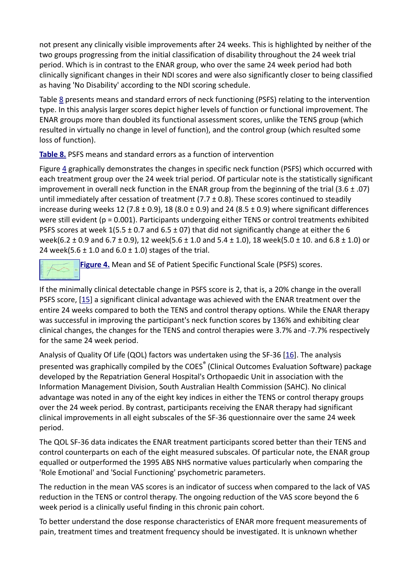not present any clinically visible improvements after 24 weeks. This is highlighted by neither of the two groups progressing from the initial classification of disability throughout the 24 week trial period. Which is in contrast to the ENAR group, who over the same 24 week period had both clinically significant changes in their NDI scores and were also significantly closer to being classified as having 'No Disability' according to the NDI scoring schedule.

Table [8](http://chiromt.com/content/15/1/9/table/T8) presents means and standard errors of neck functioning (PSFS) relating to the intervention type. In this analysis larger scores depict higher levels of function or functional improvement. The ENAR groups more than doubled its functional assessment scores, unlike the TENS group (which resulted in virtually no change in level of function), and the control group (which resulted some loss of function).

**[Table 8.](http://chiromt.com/content/15/1/9/table/T8)** PSFS means and standard errors as a function of intervention

Figure [4](http://chiromt.com/content/15/1/9/figure/F4) graphically demonstrates the changes in specific neck function (PSFS) which occurred with each treatment group over the 24 week trial period. Of particular note is the statistically significant improvement in overall neck function in the ENAR group from the beginning of the trial  $(3.6 \pm .07)$ until immediately after cessation of treatment  $(7.7 \pm 0.8)$ . These scores continued to steadily increase during weeks 12 (7.8  $\pm$  0.9), 18 (8.0  $\pm$  0.9) and 24 (8.5  $\pm$  0.9) where significant differences were still evident ( $p = 0.001$ ). Participants undergoing either TENS or control treatments exhibited PSFS scores at week  $1(5.5 \pm 0.7 \text{ and } 6.5 \pm 07)$  that did not significantly change at either the 6 week(6.2  $\pm$  0.9 and 6.7  $\pm$  0.9), 12 week(5.6  $\pm$  1.0 and 5.4  $\pm$  1.0), 18 week(5.0  $\pm$  10. and 6.8  $\pm$  1.0) or 24 week(5.6  $\pm$  1.0 and 6.0  $\pm$  1.0) stages of the trial.

**[Figure 4.](http://chiromt.com/content/15/1/9/figure/F4)** Mean and SE of Patient Specific Functional Scale (PSFS) scores.

If the minimally clinical detectable change in PSFS score is 2, that is, a 20% change in the overall PSFS score, [\[15\]](http://chiromt.com/content/15/1/9#B15) a significant clinical advantage was achieved with the ENAR treatment over the entire 24 weeks compared to both the TENS and control therapy options. While the ENAR therapy was successful in improving the participant's neck function scores by 136% and exhibiting clear clinical changes, the changes for the TENS and control therapies were 3.7% and -7.7% respectively for the same 24 week period.

Analysis of Quality Of Life (QOL) factors was undertaken using the SF-36 [\[16\]](http://chiromt.com/content/15/1/9#B16). The analysis presented was graphically compiled by the COES<sup>®</sup> (Clinical Outcomes Evaluation Software) package developed by the Repatriation General Hospital's Orthopaedic Unit in association with the Information Management Division, South Australian Health Commission (SAHC). No clinical advantage was noted in any of the eight key indices in either the TENS or control therapy groups over the 24 week period. By contrast, participants receiving the ENAR therapy had significant clinical improvements in all eight subscales of the SF-36 questionnaire over the same 24 week period.

The QOL SF-36 data indicates the ENAR treatment participants scored better than their TENS and control counterparts on each of the eight measured subscales. Of particular note, the ENAR group equalled or outperformed the 1995 ABS NHS normative values particularly when comparing the 'Role Emotional' and 'Social Functioning' psychometric parameters.

The reduction in the mean VAS scores is an indicator of success when compared to the lack of VAS reduction in the TENS or control therapy. The ongoing reduction of the VAS score beyond the 6 week period is a clinically useful finding in this chronic pain cohort.

To better understand the dose response characteristics of ENAR more frequent measurements of pain, treatment times and treatment frequency should be investigated. It is unknown whether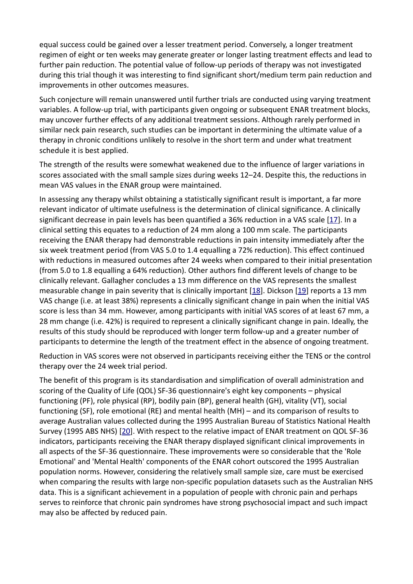equal success could be gained over a lesser treatment period. Conversely, a longer treatment regimen of eight or ten weeks may generate greater or longer lasting treatment effects and lead to further pain reduction. The potential value of follow-up periods of therapy was not investigated during this trial though it was interesting to find significant short/medium term pain reduction and improvements in other outcomes measures.

Such conjecture will remain unanswered until further trials are conducted using varying treatment variables. A follow-up trial, with participants given ongoing or subsequent ENAR treatment blocks, may uncover further effects of any additional treatment sessions. Although rarely performed in similar neck pain research, such studies can be important in determining the ultimate value of a therapy in chronic conditions unlikely to resolve in the short term and under what treatment schedule it is best applied.

The strength of the results were somewhat weakened due to the influence of larger variations in scores associated with the small sample sizes during weeks 12–24. Despite this, the reductions in mean VAS values in the ENAR group were maintained.

In assessing any therapy whilst obtaining a statistically significant result is important, a far more relevant indicator of ultimate usefulness is the determination of clinical significance. A clinically significant decrease in pain levels has been quantified a 36% reduction in a VAS scale  $[17]$ . In a clinical setting this equates to a reduction of 24 mm along a 100 mm scale. The participants receiving the ENAR therapy had demonstrable reductions in pain intensity immediately after the six week treatment period (from VAS 5.0 to 1.4 equalling a 72% reduction). This effect continued with reductions in measured outcomes after 24 weeks when compared to their initial presentation (from 5.0 to 1.8 equalling a 64% reduction). Other authors find different levels of change to be clinically relevant. Gallagher concludes a 13 mm difference on the VAS represents the smallest measurable change in pain severity that is clinically important [\[18\]](http://chiromt.com/content/15/1/9#B18). Dickson [\[19\]](http://chiromt.com/content/15/1/9#B19) reports a 13 mm VAS change (i.e. at least 38%) represents a clinically significant change in pain when the initial VAS score is less than 34 mm. However, among participants with initial VAS scores of at least 67 mm, a 28 mm change (i.e. 42%) is required to represent a clinically significant change in pain. Ideally, the results of this study should be reproduced with longer term follow-up and a greater number of participants to determine the length of the treatment effect in the absence of ongoing treatment.

Reduction in VAS scores were not observed in participants receiving either the TENS or the control therapy over the 24 week trial period.

The benefit of this program is its standardisation and simplification of overall administration and scoring of the Quality of Life (QOL) SF-36 questionnaire's eight key components – physical functioning (PF), role physical (RP), bodily pain (BP), general health (GH), vitality (VT), social functioning (SF), role emotional (RE) and mental health (MH) – and its comparison of results to average Australian values collected during the 1995 Australian Bureau of Statistics National Health Survey (1995 ABS NHS) [\[20\]](http://chiromt.com/content/15/1/9#B20). With respect to the relative impact of ENAR treatment on QOL SF-36 indicators, participants receiving the ENAR therapy displayed significant clinical improvements in all aspects of the SF-36 questionnaire. These improvements were so considerable that the 'Role Emotional' and 'Mental Health' components of the ENAR cohort outscored the 1995 Australian population norms. However, considering the relatively small sample size, care must be exercised when comparing the results with large non-specific population datasets such as the Australian NHS data. This is a significant achievement in a population of people with chronic pain and perhaps serves to reinforce that chronic pain syndromes have strong psychosocial impact and such impact may also be affected by reduced pain.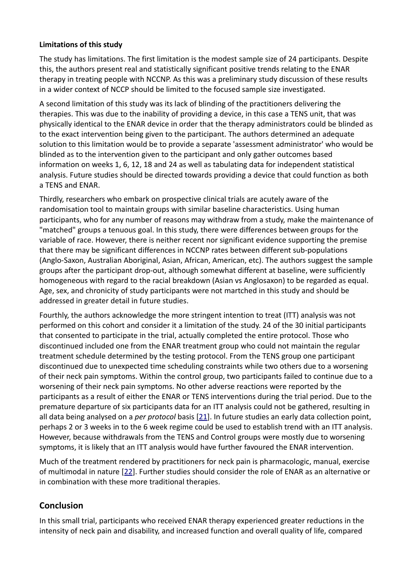#### **Limitations of this study**

The study has limitations. The first limitation is the modest sample size of 24 participants. Despite this, the authors present real and statistically significant positive trends relating to the ENAR therapy in treating people with NCCNP. As this was a preliminary study discussion of these results in a wider context of NCCP should be limited to the focused sample size investigated.

A second limitation of this study was its lack of blinding of the practitioners delivering the therapies. This was due to the inability of providing a device, in this case a TENS unit, that was physically identical to the ENAR device in order that the therapy administrators could be blinded as to the exact intervention being given to the participant. The authors determined an adequate solution to this limitation would be to provide a separate 'assessment administrator' who would be blinded as to the intervention given to the participant and only gather outcomes based information on weeks 1, 6, 12, 18 and 24 as well as tabulating data for independent statistical analysis. Future studies should be directed towards providing a device that could function as both a TENS and ENAR.

Thirdly, researchers who embark on prospective clinical trials are acutely aware of the randomisation tool to maintain groups with similar baseline characteristics. Using human participants, who for any number of reasons may withdraw from a study, make the maintenance of "matched" groups a tenuous goal. In this study, there were differences between groups for the variable of race. However, there is neither recent nor significant evidence supporting the premise that there may be significant differences in NCCNP rates between different sub-populations (Anglo-Saxon, Australian Aboriginal, Asian, African, American, etc). The authors suggest the sample groups after the participant drop-out, although somewhat different at baseline, were sufficiently homogeneous with regard to the racial breakdown (Asian vs Anglosaxon) to be regarded as equal. Age, sex, and chronicity of study participants were not martched in this study and should be addressed in greater detail in future studies.

Fourthly, the authors acknowledge the more stringent intention to treat (ITT) analysis was not performed on this cohort and consider it a limitation of the study. 24 of the 30 initial participants that consented to participate in the trial, actually completed the entire protocol. Those who discontinued included one from the ENAR treatment group who could not maintain the regular treatment schedule determined by the testing protocol. From the TENS group one participant discontinued due to unexpected time scheduling constraints while two others due to a worsening of their neck pain symptoms. Within the control group, two participants failed to continue due to a worsening of their neck pain symptoms. No other adverse reactions were reported by the participants as a result of either the ENAR or TENS interventions during the trial period. Due to the premature departure of six participants data for an ITT analysis could not be gathered, resulting in all data being analysed on a *per protocol* basis [\[21\]](http://chiromt.com/content/15/1/9#B21). In future studies an early data collection point, perhaps 2 or 3 weeks in to the 6 week regime could be used to establish trend with an ITT analysis. However, because withdrawals from the TENS and Control groups were mostly due to worsening symptoms, it is likely that an ITT analysis would have further favoured the ENAR intervention.

Much of the treatment rendered by practitioners for neck pain is pharmacologic, manual, exercise of multimodal in nature [\[22\]](http://chiromt.com/content/15/1/9#B22). Further studies should consider the role of ENAR as an alternative or in combination with these more traditional therapies.

# **Conclusion**

In this small trial, participants who received ENAR therapy experienced greater reductions in the intensity of neck pain and disability, and increased function and overall quality of life, compared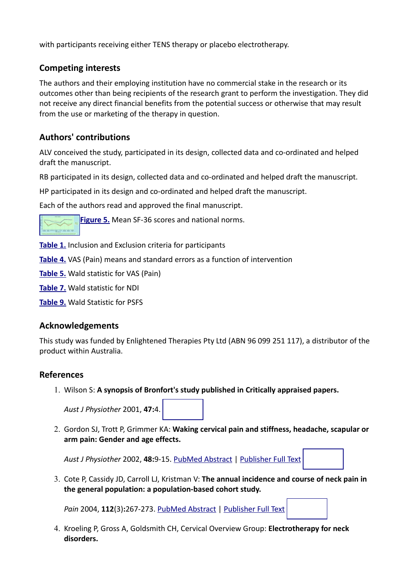with participants receiving either TENS therapy or placebo electrotherapy.

## **Competing interests**

The authors and their employing institution have no commercial stake in the research or its outcomes other than being recipients of the research grant to perform the investigation. They did not receive any direct financial benefits from the potential success or otherwise that may result from the use or marketing of the therapy in question.

## **Authors' contributions**

ALV conceived the study, participated in its design, collected data and co-ordinated and helped draft the manuscript.

RB participated in its design, collected data and co-ordinated and helped draft the manuscript.

HP participated in its design and co-ordinated and helped draft the manuscript.

Each of the authors read and approved the final manuscript.

**[Figure 5.](http://chiromt.com/content/15/1/9/figure/F5)** Mean SF-36 scores and national norms.

**[Table 1.](http://chiromt.com/content/15/1/9/table/T1)** Inclusion and Exclusion criteria for participants

**[Table 4.](http://chiromt.com/content/15/1/9/table/T4)** VAS (Pain) means and standard errors as a function of intervention

**[Table 5.](http://chiromt.com/content/15/1/9/table/T5)** Wald statistic for VAS (Pain)

**[Table 7.](http://chiromt.com/content/15/1/9/table/T7)** Wald statistic for NDI

**[Table 9.](http://chiromt.com/content/15/1/9/table/T9)** Wald Statistic for PSFS

#### **Acknowledgements**

This study was funded by Enlightened Therapies Pty Ltd (ABN 96 099 251 117), a distributor of the product within Australia.

#### **References**

1. Wilson S: **A synopsis of Bronfort's study published in Critically appraised papers.** 

*Aust J Physiother* 2001, **47:**4.

2. Gordon SJ, Trott P, Grimmer KA: **Waking cervical pain and stiffness, headache, scapular or arm pain: Gender and age effects.** 

*Aust J Physiother* 2002, **48:**9-15. [PubMed Abstract](http://chiromt.com/pubmed/11869160) | [Publisher Full Text](http://www.ncbi.nlm.nih.gov/entrez/eutils/elink.fcgi?dbfrom=pubmed&cmd=prlinks&retmode=ref&id=11869160)

3. Cote P, Cassidy JD, Carroll LJ, Kristman V: **The annual incidence and course of neck pain in the general population: a population-based cohort study.** 

*Pain* 2004, **112**(3)**:**267-273. [PubMed Abstract](http://chiromt.com/pubmed/15561381) | [Publisher Full Text](http://www.ncbi.nlm.nih.gov/entrez/eutils/elink.fcgi?dbfrom=pubmed&cmd=prlinks&retmode=ref&id=15561381)

4. Kroeling P, Gross A, Goldsmith CH, Cervical Overview Group: **Electrotherapy for neck disorders.**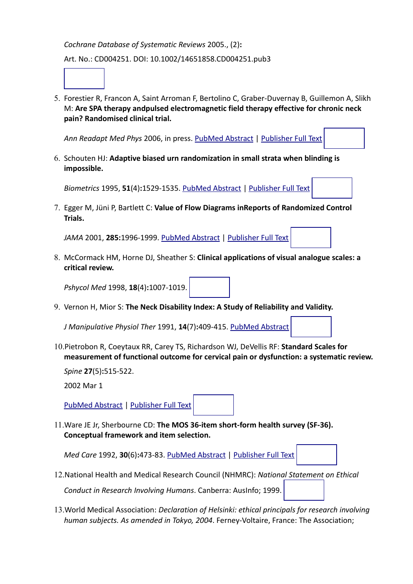*Cochrane Database of Systematic Reviews* 2005., (2)**:**

Art. No.: CD004251. DOI: 10.1002/14651858.CD004251.pub3



5. Forestier R, Francon A, Saint Arroman F, Bertolino C, Graber-Duvernay B, Guillemon A, Slikh M: **Are SPA therapy andpulsed electromagnetic field therapy effective for chronic neck pain? Randomised clinical trial.** 

*Ann Readapt Med Phys* 2006, in press. [PubMed Abstract](http://chiromt.com/pubmed/17196292) | [Publisher Full Text](http://www.ncbi.nlm.nih.gov/entrez/eutils/elink.fcgi?dbfrom=pubmed&cmd=prlinks&retmode=ref&id=17196292)

6. Schouten HJ: **Adaptive biased urn randomization in small strata when blinding is impossible.** 

*Biometrics* 1995, **51**(4)**:**1529-1535. [PubMed Abstract](http://chiromt.com/pubmed/8589238) | [Publisher Full Text](http://dx.doi.org/10.2307/2533283)

7. Egger M, Jüni P, Bartlett C: **Value of Flow Diagrams inReports of Randomized Control Trials.** 

*JAMA* 2001, **285:**1996-1999. [PubMed Abstract](http://chiromt.com/pubmed/11308437) | [Publisher Full Text](http://www.ncbi.nlm.nih.gov/entrez/eutils/elink.fcgi?dbfrom=pubmed&cmd=prlinks&retmode=ref&id=11308437)

8. McCormack HM, Horne DJ, Sheather S: **Clinical applications of visual analogue scales: a critical review.** 

*Pshycol Med* 1998, **18**(4)**:**1007-1019.

9. Vernon H, Mior S: **The Neck Disability Index: A Study of Reliability and Validity.** 

*J Manipulative Physiol Ther* 1991, **14**(7)**:**409-415. [PubMed Abstract](http://chiromt.com/pubmed/1834753)

10.Pietrobon R, Coeytaux RR, Carey TS, Richardson WJ, DeVellis RF: **Standard Scales for measurement of functional outcome for cervical pain or dysfunction: a systematic review.**

*Spine* **27**(5)**:**515-522.

2002 Mar 1

 [PubMed Abstract](http://chiromt.com/pubmed/11880837) | [Publisher Full Text](http://www.ncbi.nlm.nih.gov/entrez/eutils/elink.fcgi?dbfrom=pubmed&cmd=prlinks&retmode=ref&id=11880837)

11.Ware JE Jr, Sherbourne CD: **The MOS 36-item short-form health survey (SF-36). Conceptual framework and item selection.** 

*Med Care* 1992, **30**(6)**:**473-83. [PubMed Abstract](http://chiromt.com/pubmed/1593914) | [Publisher Full Text](http://dx.doi.org/10.1097/00005650-199206000-00002)

12.National Health and Medical Research Council (NHMRC): *National Statement on Ethical*

*Conduct in Research Involving Humans*. Canberra: AusInfo; 1999.

13.World Medical Association: *Declaration of Helsinki: ethical principals for research involving human subjects. As amended in Tokyo, 2004*. Ferney-Voltaire, France: The Association;